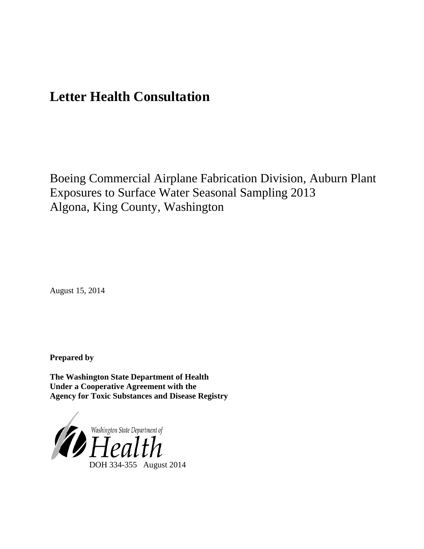# **Letter Health Consultation**

Boeing Commercial Airplane Fabrication Division, Auburn Plant Exposures to Surface Water Seasonal Sampling 2013 Algona, King County, Washington

August 15, 2014

**Prepared by**

**The Washington State Department of Health Under a Cooperative Agreement with the Agency for Toxic Substances and Disease Registry**

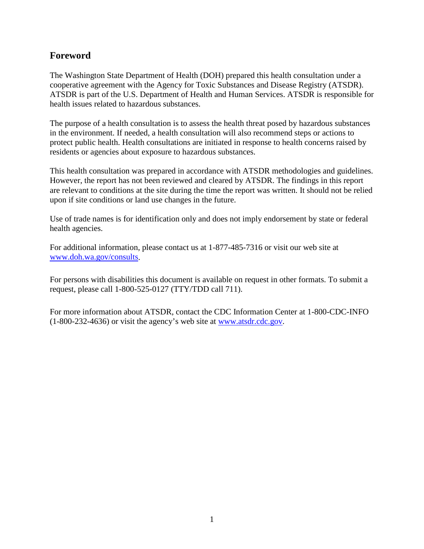## **Foreword**

The Washington State Department of Health (DOH) prepared this health consultation under a cooperative agreement with the Agency for Toxic Substances and Disease Registry (ATSDR). ATSDR is part of the U.S. Department of Health and Human Services. ATSDR is responsible for health issues related to hazardous substances.

The purpose of a health consultation is to assess the health threat posed by hazardous substances in the environment. If needed, a health consultation will also recommend steps or actions to protect public health. Health consultations are initiated in response to health concerns raised by residents or agencies about exposure to hazardous substances.

This health consultation was prepared in accordance with ATSDR methodologies and guidelines. However, the report has not been reviewed and cleared by ATSDR. The findings in this report are relevant to conditions at the site during the time the report was written. It should not be relied upon if site conditions or land use changes in the future.

Use of trade names is for identification only and does not imply endorsement by state or federal health agencies.

For additional information, please contact us at 1-877-485-7316 or visit our web site at [www.doh.wa.gov/consults.](http://www.doh.wa.gov/consults)

For persons with disabilities this document is available on request in other formats. To submit a request, please call 1-800-525-0127 (TTY/TDD call 711).

For more information about ATSDR, contact the CDC Information Center at 1-800-CDC-INFO (1-800-232-4636) or visit the agency's web site at [www.atsdr.cdc.gov.](http://www.atsdr.cdc.gov/)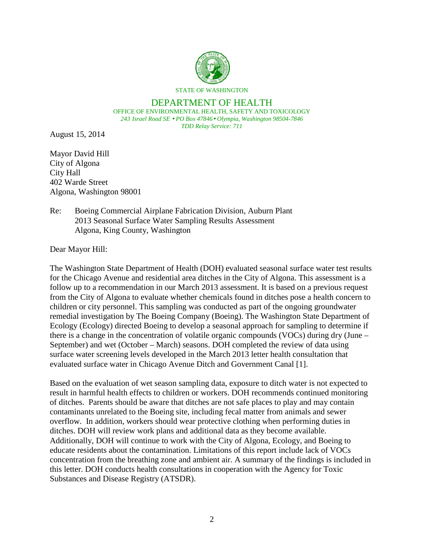

# DEPARTMENT OF HEALTH

OFFICE OF ENVIRONMENTAL HEALTH, SAFETY AND TOXICOLOGY *243 Israel Road SE PO Box 47846 Olympia, Washington 98504-7846 TDD Relay Service: 711*

August 15, 2014

Mayor David Hill City of Algona City Hall 402 Warde Street Algona, Washington 98001

### Re: Boeing Commercial Airplane Fabrication Division, Auburn Plant 2013 Seasonal Surface Water Sampling Results Assessment Algona, King County, Washington

Dear Mayor Hill:

The Washington State Department of Health (DOH) evaluated seasonal surface water test results for the Chicago Avenue and residential area ditches in the City of Algona. This assessment is a follow up to a recommendation in our March 2013 assessment. It is based on a previous request from the City of Algona to evaluate whether chemicals found in ditches pose a health concern to children or city personnel. This sampling was conducted as part of the ongoing groundwater remedial investigation by The Boeing Company (Boeing). The Washington State Department of Ecology (Ecology) directed Boeing to develop a seasonal approach for sampling to determine if there is a change in the concentration of volatile organic compounds (VOCs) during dry (June – September) and wet (October – March) seasons. DOH completed the review of data using surface water screening levels developed in the March 2013 letter health consultation that evaluated surface water in Chicago Avenue Ditch and Government Canal [1].

Based on the evaluation of wet season sampling data, exposure to ditch water is not expected to result in harmful health effects to children or workers. DOH recommends continued monitoring of ditches. Parents should be aware that ditches are not safe places to play and may contain contaminants unrelated to the Boeing site, including fecal matter from animals and sewer overflow. In addition, workers should wear protective clothing when performing duties in ditches. DOH will review work plans and additional data as they become available. Additionally, DOH will continue to work with the City of Algona, Ecology, and Boeing to educate residents about the contamination. Limitations of this report include lack of VOCs concentration from the breathing zone and ambient air. A summary of the findings is included in this letter. DOH conducts health consultations in cooperation with the Agency for Toxic Substances and Disease Registry (ATSDR).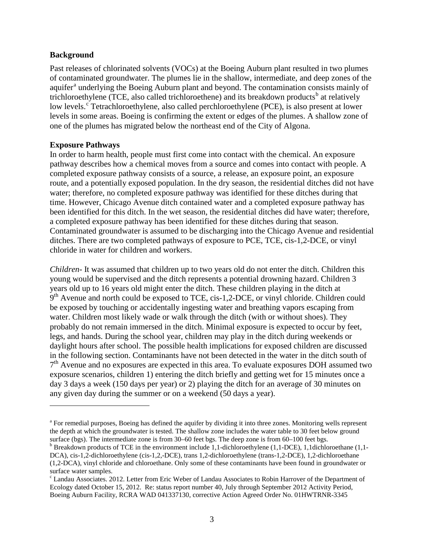#### **Background**

Past releases of chlorinated solvents (VOCs) at the Boeing Auburn plant resulted in two plumes of contaminated groundwater. The plumes lie in the shallow, intermediate, and deep zones of the [a](#page-3-0)quifer<sup>a</sup> underlying the Boeing Auburn plant and beyond. The contamination consists mainly of trichloroethylene (TCE, also called trichloroethene) and its [b](#page-3-1)reakdown products<sup>b</sup> at relatively low levels.<sup>[c](#page-3-2)</sup> Tetrachloroethylene, also called perchloroethylene (PCE), is also present at lower levels in some areas. Boeing is confirming the extent or edges of the plumes. A shallow zone of one of the plumes has migrated below the northeast end of the City of Algona.

### **Exposure Pathways**

 $\overline{a}$ 

In order to harm health, people must first come into contact with the chemical. An exposure pathway describes how a chemical moves from a source and comes into contact with people. A completed exposure pathway consists of a source, a release, an exposure point, an exposure route, and a potentially exposed population. In the dry season, the residential ditches did not have water; therefore, no completed exposure pathway was identified for these ditches during that time. However, Chicago Avenue ditch contained water and a completed exposure pathway has been identified for this ditch. In the wet season, the residential ditches did have water; therefore, a completed exposure pathway has been identified for these ditches during that season. Contaminated groundwater is assumed to be discharging into the Chicago Avenue and residential ditches. There are two completed pathways of exposure to PCE, TCE, cis-1,2-DCE, or vinyl chloride in water for children and workers.

*Children-* It was assumed that children up to two years old do not enter the ditch. Children this young would be supervised and the ditch represents a potential drowning hazard. Children 3 years old up to 16 years old might enter the ditch. These children playing in the ditch at 9<sup>th</sup> Avenue and north could be exposed to TCE, cis-1,2-DCE, or vinyl chloride. Children could be exposed by touching or accidentally ingesting water and breathing vapors escaping from water. Children most likely wade or walk through the ditch (with or without shoes). They probably do not remain immersed in the ditch. Minimal exposure is expected to occur by feet, legs, and hands. During the school year, children may play in the ditch during weekends or daylight hours after school. The possible health implications for exposed children are discussed in the following section. Contaminants have not been detected in the water in the ditch south of  $7<sup>th</sup>$  Avenue and no exposures are expected in this area. To evaluate exposures DOH assumed two exposure scenarios, children 1) entering the ditch briefly and getting wet for 15 minutes once a day 3 days a week (150 days per year) or 2) playing the ditch for an average of 30 minutes on any given day during the summer or on a weekend (50 days a year).

<span id="page-3-0"></span><sup>&</sup>lt;sup>a</sup> For remedial purposes, Boeing has defined the aquifer by dividing it into three zones. Monitoring wells represent the depth at which the groundwater is tested. The shallow zone includes the water table to 30 feet below ground surface (bgs). The intermediate zone is from 30–60 feet bgs. The deep zone is from 60–100 feet bgs.

<span id="page-3-1"></span> $\rm^b$  Breakdown products of TCE in the environment include 1,1-dichloroethylene (1,1-DCE), 1,1dichloroethane (1,1-DCA), cis-1,2-dichloroethylene (cis-1,2,-DCE), trans 1,2-dichloroethylene (trans-1,2-DCE), 1,2-dichloroethane (1,2-DCA), vinyl chloride and chloroethane. Only some of these contaminants have been found in groundwater or surface water samples.<br><sup>c</sup> Landau Associates. 2012. Letter from Eric Weber of Landau Associates to Robin Harrover of the Department of

<span id="page-3-2"></span>Ecology dated October 15, 2012. Re: status report number 40, July through September 2012 Activity Period, Boeing Auburn Facility, RCRA WAD 041337130, corrective Action Agreed Order No. 01HWTRNR-3345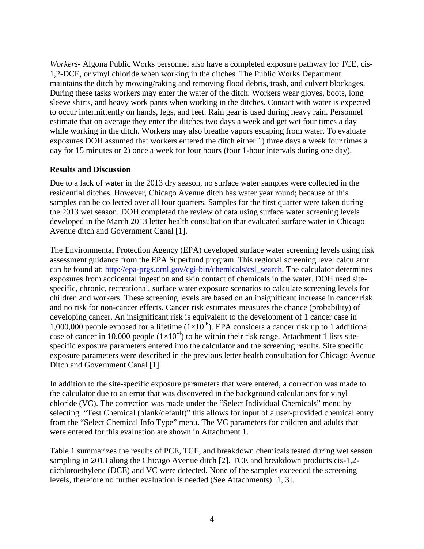*Workers-* Algona Public Works personnel also have a completed exposure pathway for TCE, cis-1,2-DCE, or vinyl chloride when working in the ditches. The Public Works Department maintains the ditch by mowing/raking and removing flood debris, trash, and culvert blockages. During these tasks workers may enter the water of the ditch. Workers wear gloves, boots, long sleeve shirts, and heavy work pants when working in the ditches. Contact with water is expected to occur intermittently on hands, legs, and feet. Rain gear is used during heavy rain. Personnel estimate that on average they enter the ditches two days a week and get wet four times a day while working in the ditch. Workers may also breathe vapors escaping from water. To evaluate exposures DOH assumed that workers entered the ditch either 1) three days a week four times a day for 15 minutes or 2) once a week for four hours (four 1-hour intervals during one day).

### **Results and Discussion**

Due to a lack of water in the 2013 dry season, no surface water samples were collected in the residential ditches. However, Chicago Avenue ditch has water year round; because of this samples can be collected over all four quarters. Samples for the first quarter were taken during the 2013 wet season. DOH completed the review of data using surface water screening levels developed in the March 2013 letter health consultation that evaluated surface water in Chicago Avenue ditch and Government Canal [1].

The Environmental Protection Agency (EPA) developed surface water screening levels using risk assessment guidance from the EPA Superfund program. This regional screening level calculator can be found at: [http://epa-prgs.ornl.gov/cgi-bin/chemicals/csl\\_search.](http://epa-prgs.ornl.gov/cgi-bin/chemicals/csl_search) The calculator determines exposures from accidental ingestion and skin contact of chemicals in the water. DOH used sitespecific, chronic, recreational, surface water exposure scenarios to calculate screening levels for children and workers. These screening levels are based on an insignificant increase in cancer risk and no risk for non-cancer effects. Cancer risk estimates measures the chance (probability) of developing cancer. An insignificant risk is equivalent to the development of 1 cancer case in 1,000,000 people exposed for a lifetime  $(1\times10^{-6})$ . EPA considers a cancer risk up to 1 additional case of cancer in 10,000 people  $(1\times10^{-4})$  to be within their risk range. Attachment 1 lists sitespecific exposure parameters entered into the calculator and the screening results. Site specific exposure parameters were described in the previous letter health consultation for Chicago Avenue Ditch and Government Canal [1].

In addition to the site-specific exposure parameters that were entered, a correction was made to the calculator due to an error that was discovered in the background calculations for vinyl chloride (VC). The correction was made under the "Select Individual Chemicals" menu by selecting "Test Chemical (blank/default)" this allows for input of a user-provided chemical entry from the "Select Chemical Info Type" menu. The VC parameters for children and adults that were entered for this evaluation are shown in Attachment 1.

Table 1 summarizes the results of PCE, TCE, and breakdown chemicals tested during wet season sampling in 2013 along the Chicago Avenue ditch [2]. TCE and breakdown products cis-1,2 dichloroethylene (DCE) and VC were detected. None of the samples exceeded the screening levels, therefore no further evaluation is needed (See Attachments) [1, 3].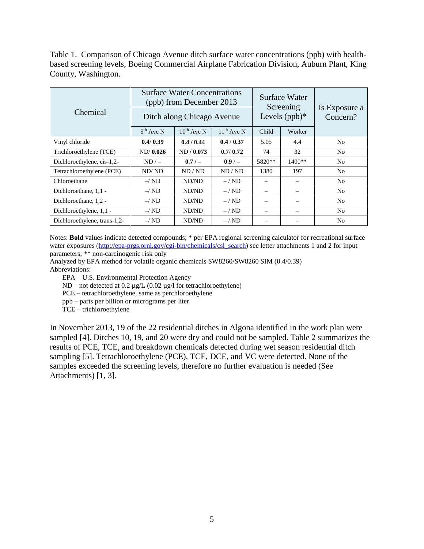Table 1. Comparison of Chicago Avenue ditch surface water concentrations (ppb) with healthbased screening levels, Boeing Commercial Airplane Fabrication Division, Auburn Plant, King County, Washington.

| Chemical                     |                | <b>Surface Water Concentrations</b><br>(ppb) from December 2013<br>Ditch along Chicago Avenue |                 |                 | Surface Water<br>Screening<br>Levels $(ppb)*$ | Is Exposure a<br>Concern? |
|------------------------------|----------------|-----------------------------------------------------------------------------------------------|-----------------|-----------------|-----------------------------------------------|---------------------------|
|                              | $9^{th}$ Ave N | $10^{th}$ Ave N                                                                               | $11^{th}$ Ave N | Child           | Worker                                        |                           |
| Vinyl chloride               | 0.4/0.39       | 0.4 / 0.44                                                                                    | 0.4 / 0.37      | 5.05            | 4.4                                           | N <sub>0</sub>            |
| Trichloroethylene (TCE)      | ND/0.026       | ND / 0.073                                                                                    | 0.7/0.72        | 74              | 32                                            | N <sub>0</sub>            |
| Dichloroethylene, cis-1,2-   | $ND/-$         | 0.7/                                                                                          | $0.9/-$         | 5820**          | $1400**$                                      | N <sub>0</sub>            |
| Tetrachloroethylene (PCE)    | ND/ND          | ND/ND                                                                                         | ND/ND           | 1380            | 197                                           | No.                       |
| Chloroethane                 | $-\sqrt{ND}$   | ND/ND                                                                                         | $-$ / ND        |                 |                                               | No                        |
| Dichloroethane, 1,1 -        | $-\sqrt{ND}$   | ND/ND                                                                                         | $-$ / ND        | -               | -                                             | N <sub>0</sub>            |
| Dichloroethane, 1,2 -        | $-\sqrt{ND}$   | ND/ND                                                                                         | $-$ / ND        | $\qquad \qquad$ | -                                             | N <sub>0</sub>            |
| Dichloroethylene, 1,1 -      | $-\sqrt{ND}$   | ND/ND                                                                                         | $-$ / ND        |                 |                                               | N <sub>0</sub>            |
| Dichloroethylene, trans-1,2- | $-\sqrt{ND}$   | ND/ND                                                                                         | $-$ / ND        |                 |                                               | N <sub>0</sub>            |

Notes: **Bold** values indicate detected compounds; \* per EPA regional screening calculator for recreational surface water exposures [\(http://epa-prgs.ornl.gov/cgi-bin/chemicals/csl\\_search\)](http://epa-prgs.ornl.gov/cgi-bin/chemicals/csl_search) see letter attachments 1 and 2 for input parameters; \*\* non-carcinogenic risk only

Analyzed by EPA method for volatile organic chemicals SW8260/SW8260 SIM (0.4/0.39) Abbreviations:

EPA – U.S. Environmental Protection Agency

ND – not detected at  $0.2 \mu g/L$  ( $0.02 \mu g/l$  for tetrachloroethylene)

PCE – tetrachloroethylene, same as perchloroethylene

ppb – parts per billion or micrograms per liter

TCE – trichloroethylene

In November 2013, 19 of the 22 residential ditches in Algona identified in the work plan were sampled [4]. Ditches 10, 19, and 20 were dry and could not be sampled. Table 2 summarizes the results of PCE, TCE, and breakdown chemicals detected during wet season residential ditch sampling [5]. Tetrachloroethylene (PCE), TCE, DCE, and VC were detected. None of the samples exceeded the screening levels, therefore no further evaluation is needed (See Attachments) [1, 3].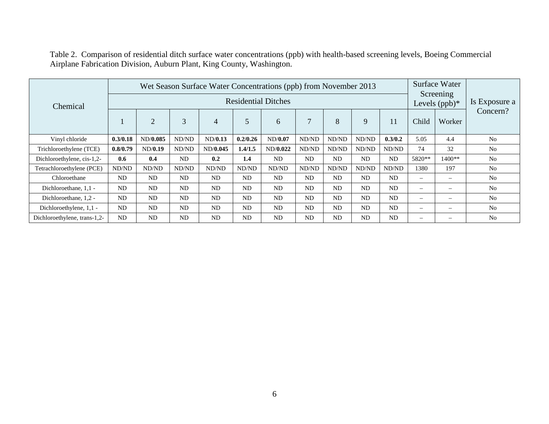| Chemical                     |           | Wet Season Surface Water Concentrations (ppb) from November 2013 |           |           |           | <b>Surface Water</b><br>Screening<br>Levels $(ppb)*$ | Is Exposure a |           |           |           |                              |                              |                |
|------------------------------|-----------|------------------------------------------------------------------|-----------|-----------|-----------|------------------------------------------------------|---------------|-----------|-----------|-----------|------------------------------|------------------------------|----------------|
|                              |           | $\overline{2}$                                                   | 3         | 4         | 5         | 6                                                    | $\mathcal{I}$ | 8         | 9         | 11        | Child                        | Worker                       | Concern?       |
| Vinyl chloride               | 0.3/0.18  | ND/0.085                                                         | ND/ND     | ND/0.13   | 0.2/0.26  | ND/0.07                                              | ND/ND         | ND/ND     | ND/ND     | 0.3/0.2   | 5.05                         | 4.4                          | N <sub>o</sub> |
| Trichloroethylene (TCE)      | 0.8/0.79  | ND/0.19                                                          | ND/ND     | ND/0.045  | 1.4/1.5   | ND/0.022                                             | ND/ND         | ND/ND     | ND/ND     | ND/ND     | 74                           | 32                           | N <sub>o</sub> |
| Dichloroethylene, cis-1,2-   | 0.6       | 0.4                                                              | ND        | 0.2       | 1.4       | <b>ND</b>                                            | <b>ND</b>     | <b>ND</b> | <b>ND</b> | <b>ND</b> | 5820**                       | $1400**$                     | N <sub>0</sub> |
| Tetrachloroethylene (PCE)    | ND/ND     | ND/ND                                                            | ND/ND     | ND/ND     | ND/ND     | ND/ND                                                | ND/ND         | ND/ND     | ND/ND     | ND/ND     | 1380                         | 197                          | N <sub>0</sub> |
| Chloroethane                 | ND        | ND                                                               | ND        | ND        | <b>ND</b> | <b>ND</b>                                            | <b>ND</b>     | <b>ND</b> | <b>ND</b> | <b>ND</b> | -                            | $\qquad \qquad \blacksquare$ | N <sub>o</sub> |
| Dichloroethane, 1,1 -        | <b>ND</b> | ND                                                               | ND        | ND        | <b>ND</b> | <b>ND</b>                                            | ND            | <b>ND</b> | <b>ND</b> | <b>ND</b> | $\qquad \qquad \blacksquare$ | $\overline{\phantom{m}}$     | N <sub>0</sub> |
| Dichloroethane, 1,2 -        | <b>ND</b> | <b>ND</b>                                                        | <b>ND</b> | ND        | <b>ND</b> | <b>ND</b>                                            | <b>ND</b>     | <b>ND</b> | <b>ND</b> | <b>ND</b> | $\overline{\phantom{0}}$     | $\qquad \qquad \blacksquare$ | N <sub>0</sub> |
| Dichloroethylene, 1,1 -      | <b>ND</b> | ND                                                               | ND        | ND        | <b>ND</b> | <b>ND</b>                                            | <b>ND</b>     | <b>ND</b> | ND        | ND        |                              | $\overline{\phantom{a}}$     | N <sub>0</sub> |
| Dichloroethylene, trans-1,2- | <b>ND</b> | <b>ND</b>                                                        | <b>ND</b> | <b>ND</b> | <b>ND</b> | <b>ND</b>                                            | <b>ND</b>     | <b>ND</b> | ND        | <b>ND</b> |                              |                              | N <sub>o</sub> |

Table 2. Comparison of residential ditch surface water concentrations (ppb) with health-based screening levels, Boeing Commercial Airplane Fabrication Division, Auburn Plant, King County, Washington.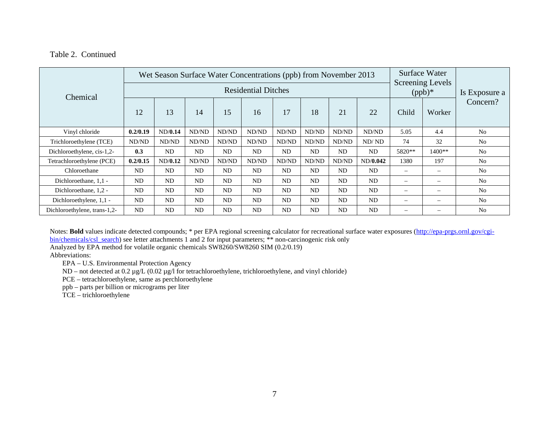Table 2. Continued

|                              |           | Wet Season Surface Water Concentrations (ppb) from November 2013 |       | Surface Water<br>Screening Levels |           |                |                |       |           |                   |                 |                |
|------------------------------|-----------|------------------------------------------------------------------|-------|-----------------------------------|-----------|----------------|----------------|-------|-----------|-------------------|-----------------|----------------|
| Chemical                     |           |                                                                  |       |                                   | $(ppb)*$  | Is Exposure a  |                |       |           |                   |                 |                |
|                              | 12        | 13                                                               | 14    | 15                                | 16        | 17             | 18             | 21    | 22        | Child             | Worker          | Concern?       |
| Vinyl chloride               | 0.2/0.19  | ND/0.14                                                          | ND/ND | ND/ND                             | ND/ND     | ND/ND          | ND/ND          | ND/ND | ND/ND     | 5.05              | 4.4             | N <sub>0</sub> |
| Trichloroethylene (TCE)      | ND/ND     | ND/ND                                                            | ND/ND | ND/ND                             | ND/ND     | ND/ND          | ND/ND          | ND/ND | ND/ND     | 74                | 32              | N <sub>0</sub> |
| Dichloroethylene, cis-1,2-   | 0.3       | <b>ND</b>                                                        | ND    | <b>ND</b>                         | ND        | N <sub>D</sub> | N <sub>D</sub> | ND    | ND        | 5820**            | 1400**          | N <sub>0</sub> |
| Tetrachloroethylene (PCE)    | 0.2/0.15  | ND/0.12                                                          | ND/ND | ND/ND                             | ND/ND     | ND/ND          | ND/ND          | ND/ND | ND/0.042  | 1380              | 197             | N <sub>0</sub> |
| Chloroethane                 | <b>ND</b> | ND                                                               | ND    | ND                                | ND        | ND             | N <sub>D</sub> | ND    | ND        | $\qquad \qquad$   | -               | N <sub>0</sub> |
| Dichloroethane, 1,1 -        | <b>ND</b> | <b>ND</b>                                                        | ND    | <b>ND</b>                         | ND        | <b>ND</b>      | <b>ND</b>      | ND    | <b>ND</b> | $\qquad \qquad -$ | $\qquad \qquad$ | N <sub>0</sub> |
| Dichloroethane, 1,2 -        | <b>ND</b> | ND                                                               | ND    | <b>ND</b>                         | ND        | <b>ND</b>      | N <sub>D</sub> | ND    | ND        | $\qquad \qquad -$ | $\qquad \qquad$ | N <sub>0</sub> |
| Dichloroethylene, 1,1 -      | <b>ND</b> | <b>ND</b>                                                        | ND    | <b>ND</b>                         | <b>ND</b> | <b>ND</b>      | <b>ND</b>      | ND    | <b>ND</b> | $\qquad \qquad -$ | -               | N <sub>0</sub> |
| Dichloroethylene, trans-1,2- | <b>ND</b> | ND                                                               | ND    | <b>ND</b>                         | <b>ND</b> | N <sub>D</sub> | N <sub>D</sub> | ND    | ND        | $\qquad \qquad -$ | $\qquad \qquad$ | N <sub>0</sub> |

Notes: Bold values indicate detected compounds; \* per EPA regional screening calculator for recreational surface water exposures [\(http://epa-prgs.ornl.gov/cgi](http://epa-prgs.ornl.gov/cgi-bin/chemicals/csl_search)[bin/chemicals/csl\\_search\)](http://epa-prgs.ornl.gov/cgi-bin/chemicals/csl_search) see letter attachments 1 and 2 for input parameters; \*\* non-carcinogenic risk only

Analyzed by EPA method for volatile organic chemicals SW8260/SW8260 SIM (0.2/0.19)

Abbreviations:

EPA – U.S. Environmental Protection Agency

ND – not detected at 0.2 µg/L (0.02 µg/l for tetrachloroethylene, trichloroethylene, and vinyl chloride)

PCE – tetrachloroethylene, same as perchloroethylene

ppb – parts per billion or micrograms per liter

TCE – trichloroethylene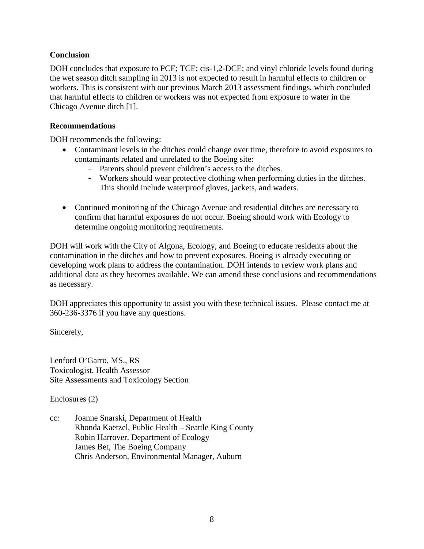### **Conclusion**

DOH concludes that exposure to PCE; TCE; cis-1,2-DCE; and vinyl chloride levels found during the wet season ditch sampling in 2013 is not expected to result in harmful effects to children or workers. This is consistent with our previous March 2013 assessment findings, which concluded that harmful effects to children or workers was not expected from exposure to water in the Chicago Avenue ditch [1].

### **Recommendations**

DOH recommends the following:

- Contaminant levels in the ditches could change over time, therefore to avoid exposures to contaminants related and unrelated to the Boeing site:
	- Parents should prevent children's access to the ditches.
	- Workers should wear protective clothing when performing duties in the ditches. This should include waterproof gloves, jackets, and waders.
- Continued monitoring of the Chicago Avenue and residential ditches are necessary to confirm that harmful exposures do not occur. Boeing should work with Ecology to determine ongoing monitoring requirements.

DOH will work with the City of Algona, Ecology, and Boeing to educate residents about the contamination in the ditches and how to prevent exposures. Boeing is already executing or developing work plans to address the contamination. DOH intends to review work plans and additional data as they becomes available. We can amend these conclusions and recommendations as necessary.

DOH appreciates this opportunity to assist you with these technical issues. Please contact me at 360-236-3376 if you have any questions.

Sincerely,

Lenford O'Garro, MS., RS Toxicologist, Health Assessor Site Assessments and Toxicology Section

Enclosures (2)

cc: Joanne Snarski, Department of Health Rhonda Kaetzel, Public Health – Seattle King County Robin Harrover, Department of Ecology James Bet, The Boeing Company Chris Anderson, Environmental Manager, Auburn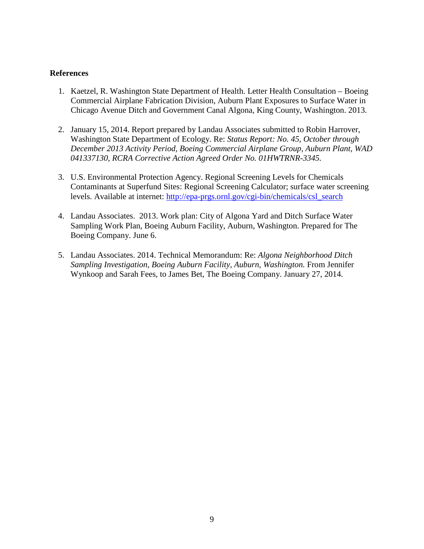#### **References**

- 1. Kaetzel, R. Washington State Department of Health. Letter Health Consultation Boeing Commercial Airplane Fabrication Division, Auburn Plant Exposures to Surface Water in Chicago Avenue Ditch and Government Canal Algona, King County, Washington. 2013.
- 2. January 15, 2014. Report prepared by Landau Associates submitted to Robin Harrover, Washington State Department of Ecology. Re: *Status Report: No. 45, October through December 2013 Activity Period, Boeing Commercial Airplane Group, Auburn Plant, WAD 041337130, RCRA Corrective Action Agreed Order No. 01HWTRNR-3345.*
- 3. U.S. Environmental Protection Agency. Regional Screening Levels for Chemicals Contaminants at Superfund Sites: Regional Screening Calculator; surface water screening levels. Available at internet: [http://epa-prgs.ornl.gov/cgi-bin/chemicals/csl\\_search](http://epa-prgs.ornl.gov/cgi-bin/chemicals/csl_search)
- 4. Landau Associates. 2013. Work plan: City of Algona Yard and Ditch Surface Water Sampling Work Plan, Boeing Auburn Facility, Auburn, Washington. Prepared for The Boeing Company. June 6.
- 5. Landau Associates. 2014. Technical Memorandum: Re: *Algona Neighborhood Ditch Sampling Investigation, Boeing Auburn Facility, Auburn, Washington.* From Jennifer Wynkoop and Sarah Fees, to James Bet, The Boeing Company. January 27, 2014.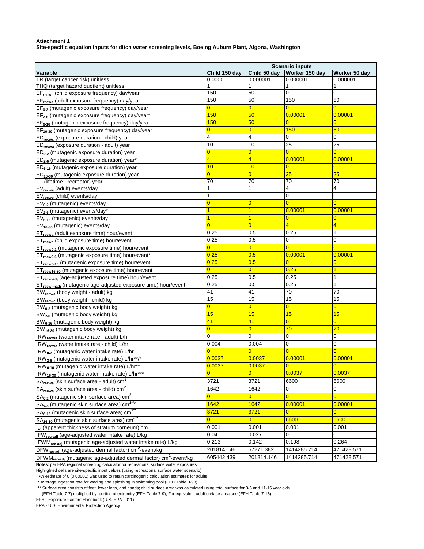**Site-specific equation inputs for ditch water screening levels, Boeing Auburn Plant, Algona, Washington**

|                                                                                          |                |                   | <b>Scenario inputs</b> |                |
|------------------------------------------------------------------------------------------|----------------|-------------------|------------------------|----------------|
| <b>Variable</b>                                                                          | Child 150 day  | Child 50 day      | Worker 150 day         | Worker 50 day  |
| TR (target cancer risk) unitless                                                         | 0.000001       | 0.000001          | 0.000001               | 0.000001       |
| THQ (target hazard quotient) unitless                                                    |                | 1                 |                        |                |
| EF <sub>recwc</sub> (child exposure frequency) day/year                                  | 150            | 50                | 0                      | 0              |
| EF <sub>recwa</sub> (adult exposure frequency) day/year                                  | 150            | 50                | 150                    | 50             |
| $EF_{0-2}$ (mutagenic exposure frequency) day/year                                       | $\overline{0}$ | $\overline{0}$    | $\overline{0}$         | $\overline{0}$ |
| EF <sub>2-6</sub> (mutagenic exposure frequency) day/year*                               | 150            | 50                | 0.00001                | 0.00001        |
| EF <sub>6-16</sub> (mutagenic exposure frequency) day/year                               | 150            | 50                | $\overline{0}$         | $\overline{0}$ |
| EF <sub>16-30</sub> (mutagenic exposure frequency) day/year                              | $\overline{0}$ | $\overline{0}$    | 150                    | 50             |
| ED <sub>recwc</sub> (exposure duration - child) year                                     | 4              | 4                 | 0                      | 0              |
| ED <sub>recwa</sub> (exposure duration - adult) year                                     | 10             | 10                | 25                     | 25             |
| $ED0-2$ (mutagenic exposure duration) year                                               | $\overline{0}$ | $\overline{0}$    | $\overline{0}$         | $\overline{0}$ |
| $ED_{2-6}$ (mutagenic exposure duration) year*                                           | 4              | 4                 | 0.00001                | 0.00001        |
| $ED_{6-16}$ (mutagenic exposure duration) year                                           | 10             | 10                | 0                      | 0              |
| $ED_{16-30}$ (mutagenic exposure duration) year                                          | $\overline{0}$ | $\overline{0}$    | 25                     | 25             |
| LT (lifetime - recreator) year                                                           | 70             | $\overline{70}$   | 70                     | 70             |
| EV <sub>recwa</sub> (adult) events/day                                                   | 1              | 1                 | 4                      | 4              |
| EV <sub>recwc</sub> (child) events/day                                                   | 1              | 1                 | 0                      | 0              |
| $EV_{0-2}$ (mutagenic) events/day                                                        | $\overline{0}$ | $\overline{0}$    | $\Omega$               | $\overline{0}$ |
| EV <sub>2-6</sub> (mutagenic) events/day*                                                | 1              | $\overline{1}$    | 0.00001                | 0.00001        |
| EV <sub>6-16</sub> (mutagenic) events/day                                                |                |                   | $\overline{0}$         | $\overline{0}$ |
| EV <sub>16-30</sub> (mutagenic) events/day                                               | $\overline{0}$ | $\overline{0}$    | 4                      | $\overline{4}$ |
| ET <sub>recwa</sub> (adult exposure time) hour/event                                     | 0.25           | 0.5               | 0.25                   | 1              |
| ET <sub>recwc</sub> (child exposure time) hour/event                                     | 0.25           | 0.5               | 0                      | 0              |
| ET <sub>recw0-2</sub> (mutagenic exposure time) hour/event                               | $\overline{0}$ | $\overline{0}$    | 0                      | $\Omega$       |
| ET <sub>recw2-6</sub> (mutagenic exposure time) hour/event*                              | 0.25           | 0.5               | 0.00001                | 0.00001        |
| ET <sub>recw6-16</sub> (mutagenic exposure time) hour/event                              | 0.25           | 0.5               | 0                      | $\overline{0}$ |
| ET <sub>recw16-30</sub> (mutagenic exposure time) hour/event                             | $\overline{0}$ | $\overline{0}$    | 0.25                   | $\overline{1}$ |
| ET <sub>recw-adj</sub> (age-adjusted exposure time) hour/event                           | 0.25           | 0.5               | 0.25                   | $\mathbf{1}$   |
| ET <sub>recw-madi</sub> (mutagenic age-adjusted exposure time) hour/event                | 0.25           | 0.5               | 0.25                   | $\mathbf{1}$   |
| BW <sub>recwa</sub> (body weight - adult) kg                                             | 41             | 41                | 70                     | 70             |
| BW <sub>recwc</sub> (body weight - child) kg                                             | 15             | 15                | 15                     | 15             |
| BW <sub>0-2</sub> (mutagenic body weight) kg                                             | $\overline{0}$ | $\overline{0}$    | $\overline{0}$         | $\overline{0}$ |
| BW <sub>2-6</sub> (mutagenic body weight) kg                                             | 15             | 15                | 15                     | 15             |
| BW <sub>6-16</sub> (mutagenic body weight) kg                                            | 41             | 41                | $\overline{0}$         | $\overline{0}$ |
| BW <sub>16-30</sub> (mutagenic body weight) kg                                           | $\overline{0}$ | $\overline{0}$    | 70                     | 70             |
| IRW <sub>recwa</sub> (water intake rate - adult) L/hr                                    | 0              | 0                 | 0                      | $\mathbf 0$    |
| IRW <sub>recwc</sub> (water intake rate - child) L/hr                                    | 0.004          | 0.004             | 0                      | 0              |
| IRW <sub>0-2</sub> (mutagenic water intake rate) L/hr                                    | $\overline{0}$ | $\overline{0}$    | $\overline{0}$         | $\overline{0}$ |
| IRW <sub>2-6</sub> (mutagenic water intake rate) L/hr**/*                                | 0.0037         | 0.0037            | 0.00001                | 0.00001        |
| IRW <sub>6-16</sub> (mutagenic water intake rate) L/hr**                                 | 0.0037         | 0.0037            | $\overline{0}$         | $\mathbf{0}$   |
| $IRW_{16-30}$ (mutagenic water intake rate) L/hr <sup>*</sup>                            | $\mathbf{0}$   | <u>U </u>         | 0.0037                 | 0.0037         |
| SA <sub>recwa</sub> (skin surface area - adult) cm <sup>2</sup>                          | 3721           | $\overline{3721}$ | 6600                   | 6600           |
| SA <sub>recwc</sub> (skin surface area - child) cm <sup>2</sup>                          | 1642           | 1642              | 0                      | $\overline{0}$ |
|                                                                                          | $\overline{0}$ | $\overline{0}$    | $\overline{0}$         | $\overline{0}$ |
| $SA0-2$ (mutagenic skin surface area) cm <sup>2</sup>                                    |                |                   |                        |                |
| SA <sub>2-6</sub> (mutagenic skin surface area) cm <sup>2**/*</sup>                      | 1642           | 1642              | 0.00001                | 0.00001        |
| SA <sub>6-16</sub> (mutagenic skin surface area) cm <sup>2**</sup>                       | 3721           | 3721              | $\overline{0}$         | $\overline{0}$ |
| SA <sub>16-30</sub> (mutagenic skin surface area) cm <sup>2*</sup>                       | $\overline{0}$ | $\overline{0}$    | 6600                   | 6600           |
| I <sub>sc</sub> (apparent thickness of stratum corneum) cm                               | 0.001          | 0.001             | 0.001                  | 0.001          |
| IFW <sub>rec-adj</sub> (age-adjusted water intake rate) L/kg                             | 0.04           | 0.027             | 0                      | 0              |
| IFWM <sub>rec-adi</sub> (mutagenic age-adjusted water intake rate) L/kg                  | 0.213          | 0.142             | 0.198                  | 0.264          |
| DFW <sub>rec-adi</sub> (age-adjusted dermal factor) cm <sup>2</sup> -event/kg            | 201814.146     | 67271.382         | 1414285.714            | 471428.571     |
| DFWM <sub>rec-adj</sub> (mutagenic age-adjusted dermal factor) cm <sup>2</sup> -event/kg | 605442.439     | 201814.146        | 1414285.714            | 471428.571     |

**Notes**: per EPA regional screening calculator for recreational surface water exposures

Highlighted cells are site-specific input values (using recreational surface water scenario)

\* An estimate of 0 (0.00001) was used to retain carcinogenic calculation estimates for adults

\*\* Average ingestion rate for wading and splashing in swimming pool (EFH Table 3-93)

\*\*\* Surface area consists of feet, lower legs, and hands; child surface area was calculated using total surface for 3-6 and 11-16 year olds

(EFH Table 7-7) multiplied by portion of extremity (EFH Table 7-9); For equivalent adult surface area see (EFH Table 7-16)

EFH - Exposure Factors Handbook (U.S. EPA 2011)

EPA - U.S. Environmental Protection Agency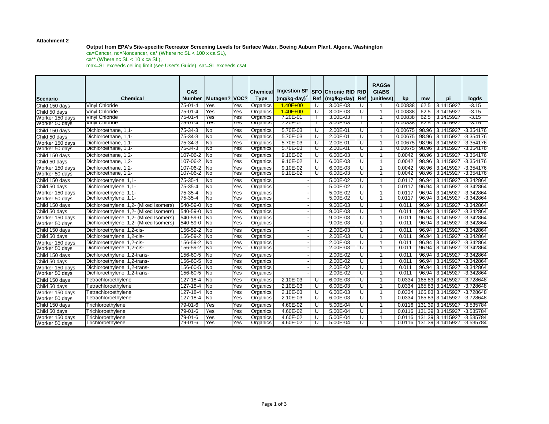#### **Output from EPA's Site-specific Recreator Screening Levels for Surface Water, Boeing Auburn Plant, Algona, Washington**

ca=Cancer, nc=Noncancer, ca\* (Where nc SL < 100 x ca SL),  $ca^{**}$  (Where nc SL < 10 x ca SL), max=SL exceeds ceiling limit (see User's Guide), sat=SL exceeds csat

|                 |                                        | CAS           |               |      | <b>Chemical</b> | <b>Ingestion SF</b> |      | <b>SFO Chronic RfD RfD</b> |            | <b>RAGSe</b><br><b>GIABS</b> |         |       |                         |             |
|-----------------|----------------------------------------|---------------|---------------|------|-----------------|---------------------|------|----------------------------|------------|------------------------------|---------|-------|-------------------------|-------------|
| <b>Scenario</b> | <b>Chemical</b>                        | <b>Number</b> | Mutagen? VOC? |      | <b>Type</b>     | (mg/kg-day)         | Ref  | (mg/kg-day)                | <b>Ref</b> | (unitless)                   | kp      | mw    | pi                      | logds       |
| Child 150 days  | Vinyl Chloride                         | 75-01-4       | Yes           | Yes  | Organics        | $1.40E + 00$        | U    | 3.00E-03                   | U          |                              | 0.00838 | 62.5  | 3.1415927               | $-3.15$     |
| Child 50 days   | Vinyl Chloride                         | 75-01-4       | Yes           | Yes  | Organics        | $1.40E + 00$        | U    | 3.00E-03                   | U          |                              | 0.00838 | 62.5  | 3.1415927               | $-3.15$     |
| Worker 150 days | Vinyl Chloride                         | 75-01-4       | Yes           | Yes  | Organics        | 7.20E-01            |      | 3.00E-03                   |            |                              | 0.00838 | 62.5  | 3.1415927               | $-3.15$     |
| Worker 50 days  | <b>Vinyl Chloride</b>                  | 75-01-4       | Yes           | Y es | Organics        | 7.20E-01            |      | 3.00E-03                   |            |                              | 0.00838 | 62.5  | 3.1415927               | -3.15       |
| Child 150 days  | Dichloroethane, 1,1-                   | 75-34-3       | <b>No</b>     | Yes  | Organics        | 5.70E-03            | U    | 2.00E-01                   | U          | $\mathbf{1}$                 | 0.00675 |       | 98.96 3.1415927         | $-3.354176$ |
| Child 50 days   | Dichloroethane, 1,1-                   | $75 - 34 - 3$ | No            | Yes  | Organics        | 5.70E-03            | U    | 2.00E-01                   | U          |                              | 0.00675 |       | 98.96 3.1415927         | $-3.354176$ |
| Worker 150 days | Dichloroethane, 1,1-                   | $75 - 34 - 3$ | No            | Yes  | Organics        | 5.70E-03            | U    | 2.00E-01                   | U          | $\mathbf{1}$                 | 0.00675 |       | 98.96 3.1415927         | $-3.354176$ |
| Worker 50 days  | Dichloroethane, 1,1-                   | 75-34-3       | TNo           | Yes  | Organics        | 5.70E-03            | ᠊᠊᠍᠊ | 2.00E-01                   | ᠊ᡨ         |                              | 0.00675 |       | 98.96 3.1415927         | -3.354176   |
| Child 150 days  | Dichloroethane, 1,2-                   | 107-06-2 No   |               | Yes  | Organics        | $9.10E - 02$        | U    | 6.00E-03                   | U          | $\mathbf{1}$                 | 0.0042  |       | 98.96 3.1415927         | $-3.354176$ |
| Child 50 days   | Dichloroethane, 1.2-                   | 107-06-2 No   |               | Yes  | Organics        | 9.10E-02            | U    | 6.00E-03                   | U          | 1                            | 0.0042  |       | 98.96 3.1415927         | $-3.354176$ |
| Worker 150 days | Dichloroethane, 1,2-                   | 107-06-2 No   |               | Yes  | Organics        | $9.10E - 02$        | U    | $6.00E - 03$               | U          | $\mathbf{1}$                 | 0.0042  |       | 98.96 3.1415927         | $-3.354176$ |
| Worker 50 days  | Dichloroethane, 1,2-                   | 107-06-2 No   |               | Yes  | Organics        | 9.10E-02            | ঢ    | 6.00E-03                   | ᠊ᡨ         |                              | 0.0042  |       | 98.96 3.1415927         | -3.354176   |
| Child 150 days  | Dichloroethylene, 1,1-                 | 75-35-4       | <b>No</b>     | Yes  | Organics        |                     |      | $5.00E - 02$               | U          | $\mathbf{1}$                 | 0.0117  |       | 96.94 3.1415927         | $-3.342864$ |
| Child 50 days   | Dichloroethylene, 1.1-                 | $75 - 35 - 4$ | No            | Yes  | Organics        |                     |      | $5.00E - 02$               | U          | $\overline{1}$               | 0.0117  |       | 96.94 3.1415927         | $-3.342864$ |
| Worker 150 days | Dichloroethylene, 1.1-                 | 75-35-4       | No            | Yes  | Organics        |                     |      | $5.00E - 02$               | U          | $\mathbf{1}$                 | 0.0117  |       | 96.94 3.1415927         | $-3.342864$ |
| Worker 50 days  | Dichloroethylene, 1,1-                 | 75-35-4       | 'No           | Yes  | Organics        |                     |      | 5.00E-02                   | U          |                              | 0.0117  | 96.94 | 13.1415927              | -3.342864   |
| Child 150 days  | Dichloroethylene, 1,2- (Mixed Isomers) | 540-59-0      | <b>No</b>     | Yes  | Organics        |                     |      | 9.00E-03                   | U          | 1                            | 0.011   | 96.94 | 3.1415927               | $-3.342864$ |
| Child 50 days   | Dichloroethylene, 1,2- (Mixed Isomers) | 540-59-0      | No            | Yes  | Organics        |                     |      | $9.00E - 03$               | U          |                              | 0.011   | 96.94 | 3.1415927               | $-3.342864$ |
| Worker 150 days | Dichloroethylene, 1,2- (Mixed Isomers) | 540-59-0 No   |               | Yes  | Organics        |                     |      | 9.00E-03                   | U          | -1                           | 0.011   | 96.94 | 3.1415927               | $-3.342864$ |
| Worker 50 days  | Dichloroethylene, 1,2- (Mixed Isomers) | 540-59-0      | _No           | Yes  | Organics        |                     |      | 9.00E-03                   | ᠊ᡨ         |                              | 0.011   | 96.94 | 13.1415927              | -3.342864   |
| Child 150 days  | Dichloroethylene, 1,2-cis-             | 156-59-2 No   |               | Yes  | Organics        |                     |      | 2.00E-03                   | U          | -1                           | 0.011   |       | 96.94 3.1415927         | $-3.342864$ |
| Child 50 days   | Dichloroethylene, 1.2-cis-             | 156-59-2 No   |               | Yes  | Organics        |                     |      | 2.00E-03                   | U          | $\overline{1}$               | 0.011   |       | 96.94 3.1415927         | $-3.342864$ |
| Worker 150 days | Dichloroethylene, 1.2-cis-             | 156-59-2 No   |               | Yes  | Organics        |                     |      | 2.00E-03                   | U          | $\mathbf{1}$                 | 0.011   | 96.94 | 3.1415927               | $-3.342864$ |
| Worker 50 days  | Dichloroethylene, 1,2-cis-             | 156-59-2 No   |               | Yes  | Organics        |                     |      | 2.00E-03                   | U          |                              | 0.011   | 96.94 | 3.1415927               | -3.342864   |
| Child 150 days  | Dichloroethylene, 1,2-trans-           | 156-60-5 No   |               | Yes  | Organics        |                     |      | 2.00E-02                   | U          | -1                           | 0.011   |       | 96.94 3.1415927         | $-3.342864$ |
| Child 50 davs   | Dichloroethylene, 1.2-trans-           | 156-60-5 No   |               | Yes  | Organics        |                     |      | 2.00E-02                   | U          |                              | 0.011   | 96.94 | 3.1415927               | $-3.342864$ |
| Worker 150 days | Dichloroethylene, 1,2-trans-           | 156-60-5 No   |               | Yes  | Organics        |                     |      | 2.00E-02                   | U          | $\mathbf 1$                  | 0.011   |       | 96.94 3.1415927         | $-3.342864$ |
| Worker 50 days  | Dichloroethylene, 1,2-trans-           | 156-60-5 No   |               | Yes  | Organics        |                     |      | 2.00E-02                   | ᠊ᡨ         |                              | 0.011   |       | 96.94 3.1415927         | -3.342864   |
| Child 150 days  | Tetrachloroethylene                    | 127-18-4 No   |               | Yes  | Organics        | 2.10E-03            | U    | 6.00E-03                   | U          | $\mathbf{1}$                 | 0.0334  |       | 165.83 3.1415927        | $-3.728648$ |
| Child 50 days   | Tetrachloroethylene                    | 127-18-4      | <b>No</b>     | Yes  | Organics        | 2.10E-03            | U    | 6.00E-03                   | U          | $\overline{1}$               | 0.0334  |       | 165.83 3.1415927        | $-3.728648$ |
| Worker 150 days | Tetrachloroethylene                    | 127-18-4      | <b>No</b>     | Yes  | Organics        | $2.10E-03$          | U    | 6.00E-03                   | U          | $\mathbf{1}$                 | 0.0334  |       | 165.83 3.1415927        | $-3.728648$ |
| Worker 50 days  | Tetrachloroethylene                    | 127-18-4 No   |               | Yes  | Organics        | 2.10E-03            | ᠊ण   | 6.00E-03                   | ᠊ᡨ         |                              | 0.0334  |       | 165.83 3.1415927        | -3.728648   |
| Child 150 days  | Trichloroethylene                      | 79-01-6       | Yes           | Yes  | Organics        | 4.60E-02            | U    | 5.00E-04                   | U          | -1                           | 0.0116  |       | 131.39 3.1415927        | $-3.535784$ |
| Child 50 days   | Trichloroethylene                      | 79-01-6       | Yes           | Yes  | Organics        | 4.60E-02            | U    | 5.00E-04                   | U          |                              | 0.0116  |       | 131.39 3.1415927        | $-3.535784$ |
| Worker 150 days | Trichloroethylene                      | 79-01-6       | Yes           | Yes  | Organics        | 4.60E-02            | U    | 5.00E-04                   | U          |                              | 0.0116  |       | 131.39 3.1415927        | $-3.535784$ |
| Worker 50 days  | Trichloroethylene                      | 79-01-6       | Yes           | Yes  | Organics        | 4.60E-02            | ᠊ण   | 5.00E-04                   | ᠊ᡨ         |                              |         |       | 0.0116 131.39 3.1415927 | -3.535784   |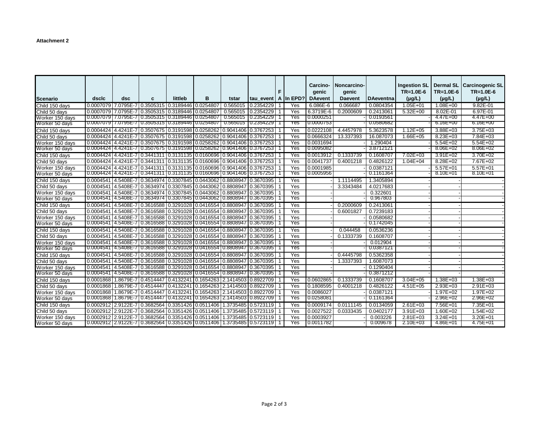|                 |       |     |                                                                                                                                   |         |   |          |                         |              |     | Carcino-       | Noncarcino-    |                  | <b>Ingestion SL</b> | <b>Dermal SL</b> | <b>Carcinogenic SL</b> |
|-----------------|-------|-----|-----------------------------------------------------------------------------------------------------------------------------------|---------|---|----------|-------------------------|--------------|-----|----------------|----------------|------------------|---------------------|------------------|------------------------|
|                 |       |     |                                                                                                                                   |         |   |          |                         | F            |     | genic          | genic          |                  | $TR=1.0E-6$         | $TR=1.0E-6$      | $TR=1.0E-6$            |
| Scenario        | dsclc | dsc | C                                                                                                                                 | littleb | B | tstar    | tau_event   A   In EPD? |              |     | <b>DAevent</b> | <b>Daevent</b> | <b>DAeventna</b> | $(\mu g/L)$         | $(\mu g/L)$      | $(\mu g/L)$            |
| Child 150 days  |       |     | 0.0007079 7.0795E-7 0.3505315 0.3189446 0.0254807                                                                                 |         |   | 0.565015 | 0.2354229               | $\mathbf{1}$ | Yes | $6.086E - 6$   | 0.066687       | 0.0804354        | $1.05E + 01$        | $1.08E + 00$     | 9.82E-01               |
| Child 50 days   |       |     | 0.0007079 7.0795E-7 0.3505315 0.3189446 0.0254807                                                                                 |         |   | 0.565015 | 0.2354229               | $\mathbf{1}$ | Yes | 6.3719E-6      | 0.2000609      | 0.2413061        | $5.32E+00$          | 8.02E-01         | 6.97E-01               |
| Worker 150 days |       |     | 0.0007079 7.0795E-7 0.3505315 0.3189446 0.0254807                                                                                 |         |   | 0.565015 | 0.2354229               | $\mathbf{1}$ | Yes | 0.0000251      |                | 0.0193561        |                     | $4.47E + 00$     | $4.47E + 00$           |
| Worker 50 days  |       |     | 0.0007079 7.0795E-7 0.3505315 0.3189446 0.0254807                                                                                 |         |   | 0.565015 | 0.2354229               |              | Yes | 0.0000753      |                | 0.0580682        |                     | 6.16E+00         | 6.16E+00               |
| Child 150 days  |       |     | 0.0004424 4.4241E-7 0.3507675 0.3191598 0.0258262 0.9041406 0.3767253                                                             |         |   |          |                         |              | Yes | 0.0222108      | 4.4457978      | 5.3623578        | $1.12E + 05$        | 3.88E+03         | $3.75E + 03$           |
| Child 50 days   |       |     | 0.0004424 4.4241E-7 0.3507675 0.3191598 0.0258262 0.9041406 0.3767253                                                             |         |   |          |                         |              | Yes | 0.0666324      | 13.337393      | 16.087073        | $1.66E + 05$        | 8.23E+03         | 7.84E+03               |
| Worker 150 days |       |     | 0.0004424 4.4241E-7 0.3507675 0.3191598 0.0258262 0.9041406 0.3767253                                                             |         |   |          |                         |              | Yes | 0.0031694      |                | 1.290404         |                     | $5.54E + 02$     | $5.54E + 02$           |
| Worker 50 days  |       |     | 0.0004424 4.4241E-7   0.3507675   0.3191598   0.0258262   0.9041406   0.3767253                                                   |         |   |          |                         |              | Yes | 0.0095082      |                | 3.8712121        |                     | 8.06E+02         | 8.06E+02               |
| Child 150 days  |       |     | 0.0004424 4.4241E-7 0.3441311 0.3131135 0.0160696 0.9041406 0.3767253                                                             |         |   |          |                         |              | Yes | 0.0013912      | 0.1333739      | 0.1608707        | $7.02E + 03$        | $3.91E + 02$     | 3.70E+02               |
| Child 50 days   |       |     | 0.0004424 4.4241E-7 0.3441311 0.3131135 0.0160696 0.9041406 0.3767253                                                             |         |   |          |                         |              | Yes | 0.0041737      | 0.4001218      | 0.4826122        | $1.04E + 04$        | 8.28E+02         | 7.67E+02               |
| Worker 150 days |       |     | 0.0004424 4.4241E-7 0.3441311 0.3131135 0.0160696 0.9041406 0.3767253                                                             |         |   |          |                         |              | Yes | 0.0001985      |                | 0.0387121        |                     | $5.57E+01$       | $5.57E + 01$           |
| Worker 50 days  |       |     | 0.0004424 4.4241E-7   0.3441311   0.3131135   0.0160696   0.9041406   0.3767253                                                   |         |   |          |                         |              | Yes | 0.0005956      |                | 0.1161364        |                     | 8.10E+01         | 8.10E+01               |
| Child 150 days  |       |     | 0.0004541 4.5408E-7 0.3634974 0.3307845 0.0443062 0.8808947 0.3670395                                                             |         |   |          |                         | $\mathbf{1}$ | Yes |                | 1.1114495      | 1.3405894        |                     |                  |                        |
| Child 50 days   |       |     | 0.0004541 4.5408E-7 0.3634974 0.3307845 0.0443062 0.8808947                                                                       |         |   |          | 0.3670395               |              | Yes |                | 3.3343484      | 4.0217683        |                     |                  |                        |
| Worker 150 days |       |     | 0.0004541 4.5408E-7 0.3634974 0.3307845 0.0443062 0.8808947 0.3670395                                                             |         |   |          |                         |              | Yes |                |                | 0.322601         |                     |                  |                        |
| Worker 50 days  |       |     | 0.0004541   4.5408E-7   0.3634974   0.3307845   0.0443062   0.8808947   0.3670395                                                 |         |   |          |                         |              | Yes |                |                | 0.967803         |                     |                  |                        |
| Child 150 days  |       |     | 0.0004541 4.5408E-7 0.3616588 0.3291028 0.0416554 0.8808947 0.3670395                                                             |         |   |          |                         |              | Yes |                | 0.2000609      | 0.2413061        |                     |                  |                        |
| Child 50 days   |       |     | 0.0004541 4.5408E-7 0.3616588 0.3291028 0.0416554 0.8808947 0.3670395                                                             |         |   |          |                         | $\mathbf{1}$ | Yes |                | 0.6001827      | 0.7239183        |                     |                  |                        |
| Worker 150 days |       |     | 0.0004541 4.5408E-7 0.3616588 0.3291028 0.0416554 0.8808947                                                                       |         |   |          | 0.3670395               |              | Yes |                |                | 0.0580682        |                     |                  |                        |
| Worker 50 days  |       |     | 0.0004541   4.5408E-7   0.3616588   0.3291028   0.0416554   0.8808947   0.3670395                                                 |         |   |          |                         |              | Yes |                |                | 0.1742045        |                     |                  |                        |
| Child 150 days  |       |     | 0.0004541 4.5408E-7 0.3616588 0.3291028 0.0416554 0.8808947 0.3670395                                                             |         |   |          |                         |              | Yes |                | 0.044458       | 0.0536236        |                     |                  |                        |
| Child 50 days   |       |     | 0.0004541 4.5408E-7 0.3616588 0.3291028 0.0416554 0.8808947                                                                       |         |   |          | 0.3670395               | $\mathbf{1}$ | Yes |                | 0.1333739      | 0.1608707        |                     |                  |                        |
| Worker 150 days |       |     | 0.0004541 4.5408E-7 0.3616588 0.3291028 0.0416554 0.8808947 0.3670395                                                             |         |   |          |                         |              | Yes |                |                | 0.012904         |                     |                  |                        |
| Worker 50 days  |       |     | 0.0004541   4.5408E-7   0.3616588   0.3291028   0.0416554   0.8808947   0.3670395                                                 |         |   |          |                         |              | Yes |                |                | 0.0387121        |                     |                  |                        |
| Child 150 days  |       |     | 0.0004541 4.5408E-7 0.3616588 0.3291028 0.0416554 0.8808947 0.3670395                                                             |         |   |          |                         |              | Yes |                | 0.4445798      | 0.5362358        |                     |                  |                        |
| Child 50 days   |       |     | 0.0004541 4.5408E-7 0.3616588 0.3291028 0.0416554 0.8808947                                                                       |         |   |          | 0.3670395               | 1            | Yes |                | 1.3337393      | 1.6087073        |                     |                  |                        |
| Worker 150 days |       |     | 0.0004541   4.5408E-7   0.3616588   0.3291028   0.0416554   0.8808947   0.3670395                                                 |         |   |          |                         |              | Yes |                |                | 0.1290404        |                     |                  |                        |
| Worker 50 days  |       |     | $\left[0.0004541\right]$ 4.5408E-7 $\left[0.3616588\right]$ 0.3291028 $\left[0.0416554\right]$ 0.8808947 $\left[0.3670395\right]$ |         |   |          |                         |              | Yes |                |                | 0.3871212        |                     |                  |                        |
| Child 150 days  |       |     | 0.0001868 1.8679E-7 0.4514447 0.4132241 0.1654263 2.1414503 0.8922709                                                             |         |   |          |                         | $\mathbf{1}$ | Yes | 0.0602865      | 0.1333739      | 0.1608707        | $3.04E + 05$        | $1.38E + 03$     | $1.38E + 03$           |
| Child 50 days   |       |     | 0.0001868   1.8679E-7   0.4514447   0.4132241   0.1654263   2.1414503   0.8922709                                                 |         |   |          |                         |              | Yes | 0.1808595      | 0.4001218      | 0.4826122        | $4.51E + 05$        | 2.93E+03         | $2.91E + 03$           |
| Worker 150 days |       |     | 0.0001868 1.8679E-7 0.4514447 0.4132241 0.1654263 2.1414503 0.8922709                                                             |         |   |          |                         |              | Yes | 0.0086027      |                | 0.0387121        |                     | $1.97E + 02$     | 1.97E+02               |
| Worker 50 days  |       |     | 0.0001868   1.8679E-7   0.4514447   0.4132241   0.1654263   2.1414503   0.8922709                                                 |         |   |          |                         |              | Yes | 0.0258081      |                | 0.1161364        |                     | 2.96E+02         | 2.96E+02               |
| Child 150 days  |       |     | 0.0002912 2.9122E-7 0.3682564 0.3351426 0.0511406 1.3735485 0.5723119                                                             |         |   |          |                         |              | Yes | 0.0009174      | 0.0111145      | 0.0134059        | $2.61E + 03$        | 7.56E+01         | $7.35E + 01$           |
| Child 50 days   |       |     | 0.0002912 2.9122E-7   0.3682564   0.3351426   0.0511406   1.3735485   0.5723119                                                   |         |   |          |                         | $\mathbf{1}$ | Yes | 0.0027522      | 0.0333435      | 0.0402177        | $3.91E + 03$        | 1.60E+02         | $1.54E + 02$           |
| Worker 150 days |       |     | l 0.0002912 l 2.9122E-7 l 0.3682564 l 0.3351426 l 0.0511406 l 1.3735485 l 0.5723119                                               |         |   |          |                         |              | Yes | 0.0003927      |                | 0.003226         | $2.81E + 03$        | $3.24E + 01$     | 3.20E+01               |
| Worker 50 days  |       |     | $0.0002912$   2.9122E-7   0.3682564   0.3351426   0.0511406   1.3735485   0.5723119                                               |         |   |          |                         |              | Yes | 0.0011782      |                | 0.009678         | 2.10E+03            | 4.86E+01         | 4.75E+01               |